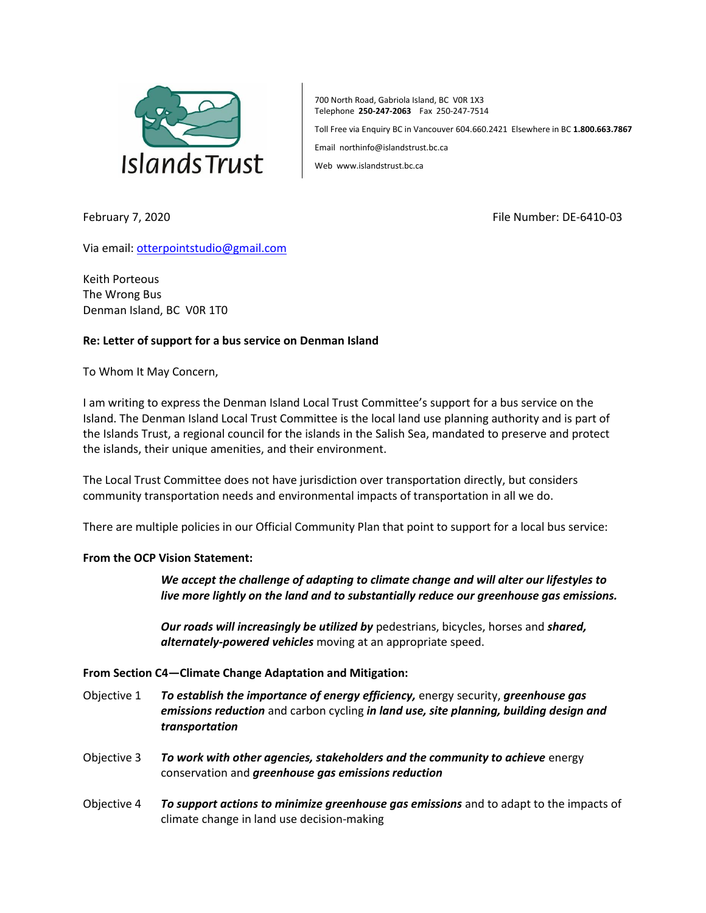

700 North Road, Gabriola Island, BC V0R 1X3 Telephone **250-247-2063** Fax 250-247-7514

Toll Free via Enquiry BC in Vancouver 604.660.2421 Elsewhere in BC **1.800.663.7867**

Email northinfo@islandstrust.bc.ca

Web www.islandstrust.bc.ca

February 7, 2020 File Number: DE-6410-03

Via email[: otterpointstudio@gmail.com](mailto:otterpointstudio@gmail.com)

Keith Porteous The Wrong Bus Denman Island, BC V0R 1T0

## **Re: Letter of support for a bus service on Denman Island**

To Whom It May Concern,

I am writing to express the Denman Island Local Trust Committee's support for a bus service on the Island. The Denman Island Local Trust Committee is the local land use planning authority and is part of the Islands Trust, a regional council for the islands in the Salish Sea, mandated to preserve and protect the islands, their unique amenities, and their environment.

The Local Trust Committee does not have jurisdiction over transportation directly, but considers community transportation needs and environmental impacts of transportation in all we do.

There are multiple policies in our Official Community Plan that point to support for a local bus service:

## **From the OCP Vision Statement:**

*We accept the challenge of adapting to climate change and will alter our lifestyles to live more lightly on the land and to substantially reduce our greenhouse gas emissions.*

*Our roads will increasingly be utilized by* pedestrians, bicycles, horses and *shared, alternately-powered vehicles* moving at an appropriate speed.

## **From Section C4—Climate Change Adaptation and Mitigation:**

- Objective 1 *To establish the importance of energy efficiency,* energy security, *greenhouse gas emissions reduction* and carbon cycling *in land use, site planning, building design and transportation*
- Objective 3 *To work with other agencies, stakeholders and the community to achieve* energy conservation and *greenhouse gas emissions reduction*
- Objective 4 *To support actions to minimize greenhouse gas emissions* and to adapt to the impacts of climate change in land use decision-making